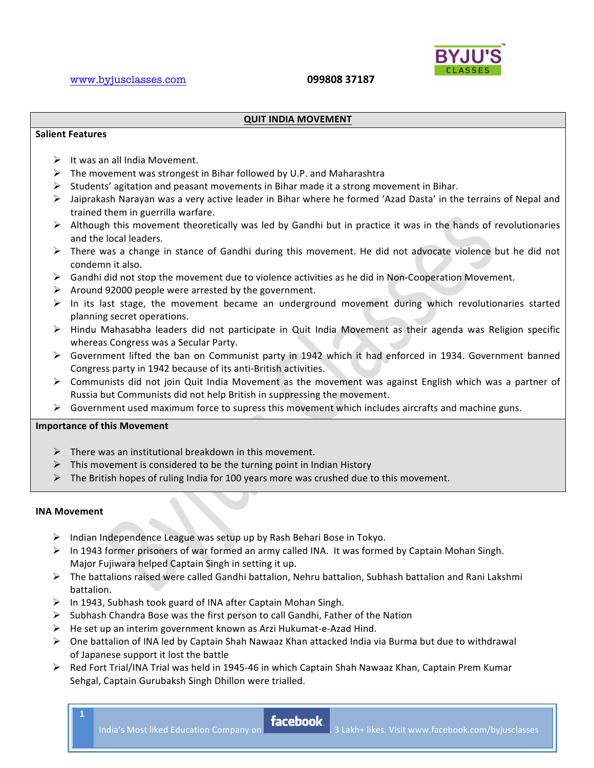

### **QUIT INDIA MOVEMENT**

# **Salient Features**

- $\triangleright$  It was an all India Movement.
- $\triangleright$  The movement was strongest in Bihar followed by U.P. and Maharashtra
- $\triangleright$  Students' agitation and peasant movements in Bihar made it a strong movement in Bihar.
- $\triangleright$  Jaiprakash Narayan was a very active leader in Bihar where he formed 'Azad Dasta' in the terrains of Nepal and trained them in guerrilla warfare.
- $\triangleright$  Although this movement theoretically was led by Gandhi but in practice it was in the hands of revolutionaries and the local leaders.
- $\triangleright$  There was a change in stance of Gandhi during this movement. He did not advocate violence but he did not condemn it also.
- $\triangleright$  Gandhi did not stop the movement due to violence activities as he did in Non-Cooperation Movement.
- $\triangleright$  Around 92000 people were arrested by the government.
- $\triangleright$  In its last stage, the movement became an underground movement during which revolutionaries started planning secret operations.
- $\triangleright$  Hindu Mahasabha leaders did not participate in Quit India Movement as their agenda was Religion specific whereas Congress was a Secular Party.
- $\triangleright$  Government lifted the ban on Communist party in 1942 which it had enforced in 1934. Government banned Congress party in 1942 because of its anti-British activities.
- $\triangleright$  Communists did not join Quit India Movement as the movement was against English which was a partner of Russia but Communists did not help British in suppressing the movement.
- $\triangleright$  Government used maximum force to supress this movement which includes aircrafts and machine guns.

#### **Importance of this Movement**

- $\triangleright$  There was an institutional breakdown in this movement.
- $\triangleright$  This movement is considered to be the turning point in Indian History
- $\triangleright$  The British hopes of ruling India for 100 years more was crushed due to this movement.

#### **INA!Movement**

- $\triangleright$  Indian Independence League was setup up by Rash Behari Bose in Tokyo.
- $\triangleright$  In 1943 former prisoners of war formed an army called INA. It was formed by Captain Mohan Singh. Major Fujiwara helped Captain Singh in setting it up.
- $\triangleright$  The battalions raised were called Gandhi battalion, Nehru battalion, Subhash battalion and Rani Lakshmi battalion.
- $\triangleright$  In 1943, Subhash took guard of INA after Captain Mohan Singh.
- $\triangleright$  Subhash Chandra Bose was the first person to call Gandhi, Father of the Nation
- $\triangleright$  He set up an interim government known as Arzi Hukumat-e-Azad Hind.
- $\triangleright$  One battalion of INA led by Captain Shah Nawaaz Khan attacked India via Burma but due to withdrawal of Japanese support it lost the battle
- $\triangleright$  Red Fort Trial/INA Trial was held in 1945-46 in which Captain Shah Nawaaz Khan, Captain Prem Kumar Sehgal, Captain Gurubaksh Singh Dhillon were trialled.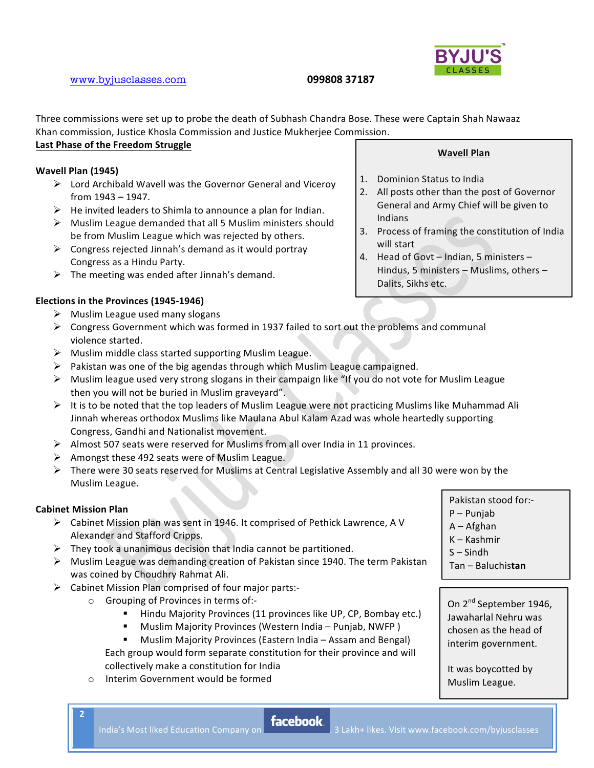

**Wavell!Plan**

2. All posts other than the post of Governor General and Army Chief will be given to

3. Process of framing the constitution of India

Hindus, 5 ministers – Muslims, others –

4. Head of Govt – Indian, 5 ministers –

1. Dominion Status to India

Indians

will start

Dalits, Sikhs etc.

# www.byjusclasses.com **099808 37187**

Three commissions were set up to probe the death of Subhash Chandra Bose. These were Captain Shah Nawaaz Khan commission, Justice Khosla Commission and Justice Mukherjee Commission.

### **Last Phase of the Freedom Struggle**

### **Wavell!Plan!(1945)**

- $\triangleright$  Lord Archibald Wavell was the Governor General and Viceroy from  $1943 - 1947$ .
- $\triangleright$  He invited leaders to Shimla to announce a plan for Indian.
- $\triangleright$  Muslim League demanded that all 5 Muslim ministers should be from Muslim League which was rejected by others.
- $\triangleright$  Congress rejected Jinnah's demand as it would portray Congress as a Hindu Party.
- $\triangleright$  The meeting was ended after Jinnah's demand.

### **Elections in the Provinces (1945-1946)**

- $\triangleright$  Muslim League used many slogans
- $\triangleright$  Congress Government which was formed in 1937 failed to sort out the problems and communal violence started.
- $\triangleright$  Muslim middle class started supporting Muslim League.
- $\triangleright$  Pakistan was one of the big agendas through which Muslim League campaigned.
- $\triangleright$  Muslim league used very strong slogans in their campaign like "If you do not vote for Muslim League then you will not be buried in Muslim graveyard".
- $\triangleright$  It is to be noted that the top leaders of Muslim League were not practicing Muslims like Muhammad Ali Jinnah whereas orthodox Muslims like Maulana Abul Kalam Azad was whole heartedly supporting Congress, Gandhi and Nationalist movement.
- $\triangleright$  Almost 507 seats were reserved for Muslims from all over India in 11 provinces.
- $\triangleright$  Amongst these 492 seats were of Muslim League.
- $\triangleright$  There were 30 seats reserved for Muslims at Central Legislative Assembly and all 30 were won by the Muslim League.

#### **Cabinet Mission Plan**

**2**

- $\triangleright$  Cabinet Mission plan was sent in 1946. It comprised of Pethick Lawrence, A V Alexander and Stafford Cripps.
- $\triangleright$  They took a unanimous decision that India cannot be partitioned.
- $\triangleright$  Muslim League was demanding creation of Pakistan since 1940. The term Pakistan was coined by Choudhry Rahmat Ali.
- $\triangleright$  Cabinet Mission Plan comprised of four major parts:-
	- $\circ$  Grouping of Provinces in terms of:-
		- " Hindu Majority Provinces (11 provinces like UP, CP, Bombay etc.)
		- Muslim Majority Provinces (Western India Punjab, NWFP)
		- Muslim Majority Provinces (Eastern India Assam and Bengal)
		- Each group would form separate constitution for their province and will collectively make a constitution for India
		- $\circ$  Interim Government would be formed

Pakistan stood for:-

- 
- $A Afghan$
- 
- 
- Tan!– Baluchis**tan**

On 2<sup>nd</sup> September 1946, Jawaharlal Nehru was chosen as the head of interim government.

It was boycotted by Muslim League.

- P Punjab
- 
- 
- K!– Kashmir
- $S -$  Sindh